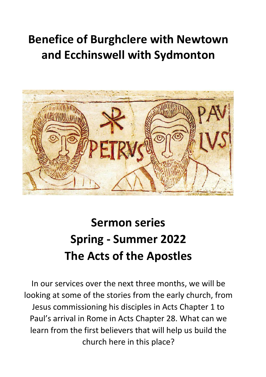## **Benefice of Burghclere with Newtown and Ecchinswell with Sydmonton**



# **Sermon series Spring - Summer 2022 The Acts of the Apostles**

In our services over the next three months, we will be looking at some of the stories from the early church, from Jesus commissioning his disciples in Acts Chapter 1 to Paul's arrival in Rome in Acts Chapter 28. What can we learn from the first believers that will help us build the church here in this place?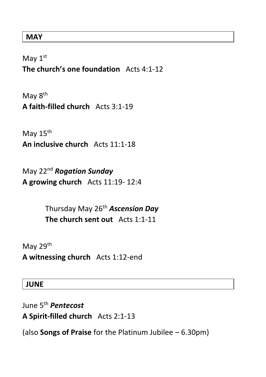#### **MAY**

May 1<sup>st</sup> **The church's one foundation** Acts 4:1-12

May 8<sup>th</sup> **A faith-filled church** Acts 3:1-19

May 15<sup>th</sup> **An inclusive church** Acts 11:1-18

May 22 nd *Rogation Sunday* **A growing church** Acts 11:19- 12:4

> Thursday May 26th *Ascension Day* **The church sent out**Acts 1:1-11

May 29<sup>th</sup>

**A witnessing church** Acts 1:12-end

#### **JUNE**

June 5th *Pentecost* **A Spirit-filled church** Acts 2:1-13

(also **Songs of Praise** for the Platinum Jubilee – 6.30pm)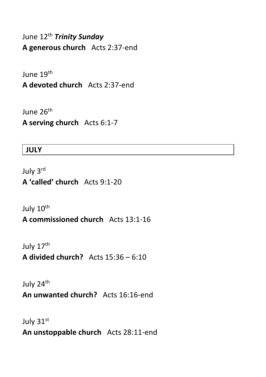June 12 th *Trinity Sunday* **A generous church** Acts 2:37-end

June 19<sup>th</sup>

**A devoted church** Acts 2:37-end

June 26<sup>th</sup> **A serving church** Acts 6:1-7

#### **JULY**

July 3 rd **A 'called' church** Acts 9:1-20

July 10<sup>th</sup> **A commissioned church** Acts 13:1-16

July 17<sup>th</sup> **A divided church?** Acts 15:36 – 6:10

July 24th **An unwanted church?** Acts 16:16-end

July 31st **An unstoppable church** Acts 28:11-end